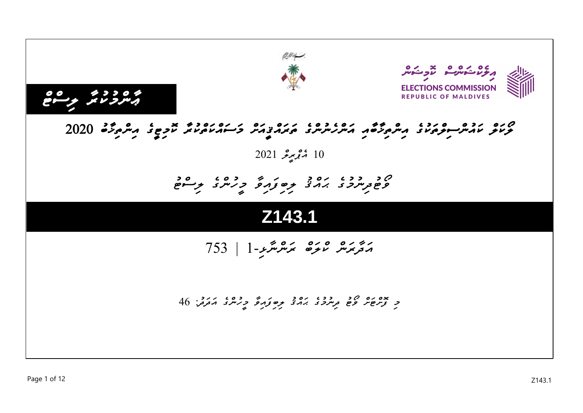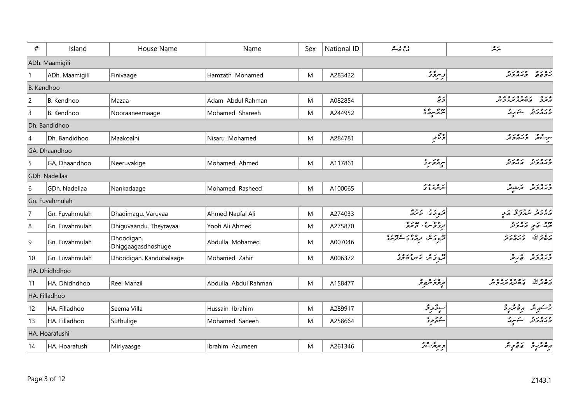| #              | Island         | House Name                       | Name                 | Sex | <b>National ID</b> | ، ه ، ره<br>مربح برگ                               | ىئرىتر                                                    |
|----------------|----------------|----------------------------------|----------------------|-----|--------------------|----------------------------------------------------|-----------------------------------------------------------|
|                | ADh. Maamigili |                                  |                      |     |                    |                                                    |                                                           |
|                | ADh. Maamiqili | Finivaage                        | Hamzath Mohamed      | M   | A283422            | وسرچ                                               | و رە ر د<br>تر <i>پە</i> ر تەر<br>بره بر د<br>بر د سي م   |
| B. Kendhoo     |                |                                  |                      |     |                    |                                                    |                                                           |
| $\overline{2}$ | B. Kendhoo     | Mazaa                            | Adam Abdul Rahman    | M   | A082854            | ترتج                                               | ر ه وه ر ه د ه<br>پره توپر <i>تو</i> ر<br>پچەرە<br>مەنىرى |
| 3              | B. Kendhoo     | Nooraaneemaage                   | Mohamed Shareeh      | M   | A244952            | در پر پر دی<br>سر پر پر دی                         | ورەرو شەرج                                                |
|                | Dh. Bandidhoo  |                                  |                      |     |                    |                                                    |                                                           |
| 4              | Dh. Bandidhoo  | Maakoalhi                        | Nisaru Mohamed       | M   | A284781            | ء جء<br> حسنة عب                                   | و رە ر د<br>تر پر تر تر<br>سرىستىتىر                      |
|                | GA. Dhaandhoo  |                                  |                      |     |                    |                                                    |                                                           |
| 5              | GA. Dhaandhoo  | Neeruvakige                      | Mohamed Ahmed        | M   | A117861            | لىدىدۇرۇ                                           | כנסנכ נסנכ<br><i>כג</i> מכנ <sub>ע</sub> מגבע             |
|                | GDh. Nadellaa  |                                  |                      |     |                    |                                                    |                                                           |
| 6              | GDh. Nadellaa  | Nankadaage                       | Mohamed Rasheed      | M   | A100065            | پره پر پر پر<br>سرس و پر                           | ورەرو بۇيىيوتر                                            |
|                | Gn. Fuvahmulah |                                  |                      |     |                    |                                                    |                                                           |
| 7              | Gn. Fuvahmulah | Dhadimagu. Varuvaa               | Ahmed Naufal Ali     | M   | A274033            | د د د .<br>د د د . و برو                           | رەر د رورە پەر                                            |
| 8              | Gn. Fuvahmulah | Dhiguvaandu. Theyravaa           | Yooh Ali Ahmed       | M   | A275870            | و و به سره به بره<br>ترد و سره گویمرو              | תם גם גם גם                                               |
| 9              | Gn. Fuvahmulah | Dhoodigan.<br>Dhiggaagasdhoshuge | Abdulla Mohamed      | M   | A007046            | دو بر ه .<br>تر د تر ش . تر پر تر ت - تر س تر تر ت | رە دالله درەر د                                           |
| $ 10\rangle$   | Gn. Fuvahmulah | Dhoodigan. Kandubalaage          | Mohamed Zahir        | M   | A006372            | دو بره به سرورون<br>درون به سره مون                | ورەرو ئېرىژ                                               |
|                | HA. Dhidhdhoo  |                                  |                      |     |                    |                                                    |                                                           |
| 11             | HA. Dhidhdhoo  | <b>Reel Manzil</b>               | Abdulla Abdul Rahman | M   | A158477            | برود عربو و                                        | رە داللە بەھ دە دە د                                      |
|                | HA. Filladhoo  |                                  |                      |     |                    |                                                    |                                                           |
| 12             | HA. Filladhoo  | Seema Villa                      | Hussain Ibrahim      | M   | A289917            | سوځ و څ                                            | بزخير شه برگانگريز                                        |
| $ 13\rangle$   | HA. Filladhoo  | Suthulige                        | Mohamed Saneeh       | M   | A258664            | د د د ،<br>سومور                                   | و ر ه ر د<br>د بر پر تر<br>سەسر                           |
|                | HA. Hoarafushi |                                  |                      |     |                    |                                                    |                                                           |
| 14             | HA. Hoarafushi | Miriyaasge                       | Ibrahim Azumeen      | M   | A261346            | د بر پژگ                                           | رەنژىر ئەن ئەر                                            |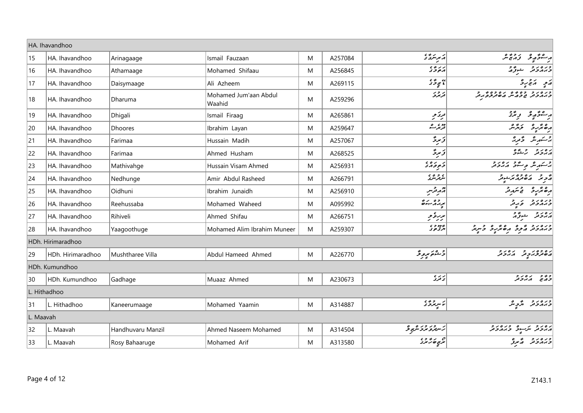|           | HA. Ihavandhoo    |                   |                                 |           |         |                                    |                                         |
|-----------|-------------------|-------------------|---------------------------------|-----------|---------|------------------------------------|-----------------------------------------|
| 15        | HA. Ihavandhoo    | Arinagaage        | Ismail Fauzaan                  | M         | A257084 | برىر پرى                           | وستوصفي ودومي                           |
| 16        | HA. Ihavandhoo    | Athamaage         | Mohamed Shifaau                 | M         | A256845 | ر ر د »<br>د ه د د                 | وبره د و سوژه.<br>  وبر د در سوژه.      |
| 17        | HA. Ihavandhoo    | Daisymaage        | Ali Azheem                      | M         | A269115 | پر سپر می<br>  پاسم سپر سپر        | ړنو په نړه                              |
| 18        | HA. Ihavandhoo    | Dharuma           | Mohamed Jum'aan Abdul<br>Waahid | M         | A259296 | ر ور<br>ترىرى                      |                                         |
| 19        | HA. Ihavandhoo    | Dhigali           | Ismail Firaag                   | M         | A265861 | <sub>قرى</sub> تو<br>تر            | ر جۇرپۇ رېڭ                             |
| 20        | HA. Ihavandhoo    | <b>Dhoores</b>    | Ibrahim Layan                   | M         | A259647 | دد ،<br>تدبر ب                     | ەمەر <i>قىرى</i> ر                      |
| 21        | HA. Ihavandhoo    | Farimaa           | Hussain Madih                   | M         | A257067 | تزبرة                              | ر<br>رئاسکور سی دیگر دیگر<br>مرگ        |
| 22        | HA. Ihavandhoo    | Farimaa           | Ahmed Husham                    | M         | A268525 | ترىردى                             | رەرد رىپە                               |
| 23        | HA. Ihavandhoo    | Mathivahge        | Hussain Visam Ahmed             | M         | A256931 | ر ره د<br><del>د</del> مومه د      | برسكه شرع ومرورد                        |
| 24        | HA. Ihavandhoo    | Nedhunge          | Amir Abdul Rasheed              | M         | A266791 | ء و ه ۽<br>سرپرسر <sub>ک</sub>     | ه و ده وه ر<br>دگرم ده تردمر مرشوتر     |
| 25        | HA. Ihavandhoo    | Oidhuni           | Ibrahim Junaidh                 | ${\sf M}$ | A256910 | بر<br>مرمر مرسر                    | وەتزىرە يتموتر                          |
| 26        | HA. Ihavandhoo    | Reehussaba        | Mohamed Waheed                  | M         | A095992 | ىر 29 مەكتە<br>ئە                  | ورەر دىر د                              |
| 27        | HA. Ihavandhoo    | Rihiveli          | Ahmed Shifau                    | M         | A266751 | ىررۇپە                             | رەر ئىرگە                               |
| 28        | HA. Ihavandhoo    | Yaagoothuge       | Mohamed Alim Ibrahim Muneer     | ${\sf M}$ | A259307 | پر دو د ع<br>پر بی می بی           | כנים נגב בי הסתניב ביתיב                |
|           | HDh. Hirimaradhoo |                   |                                 |           |         |                                    |                                         |
| 29        | HDh. Hirimaradhoo | Mushtharee Villa  | Abdul Hameed Ahmed              | M         | A226770 | ۇشۇم برە ئۇ                        | גם כפג כ"גם גבע<br>גם <i>נקבג כ</i> בית |
|           | HDh. Kumundhoo    |                   |                                 |           |         |                                    |                                         |
| 30        | HDh. Kumundhoo    | Gadhage           | Muaaz Ahmed                     | M         | A230673 | ر ر پ<br>تر تعر <sup>ی</sup>       | כשי הפיכת                               |
|           | L. Hithadhoo      |                   |                                 |           |         |                                    |                                         |
| 31        | L. Hithadhoo      | Kaneerumaage      | Mohamed Yaamin                  | M         | A314887 | ئەسپەترىچ ئى                       | ورەرو گەچىگ                             |
| L. Maavah |                   |                   |                                 |           |         |                                    |                                         |
| 32        | L. Maavah         | Handhuvaru Manzil | Ahmed Naseem Mohamed            | M         | A314504 | ر سرور ور ه پر و                   | י פי בי הלייב בגביבי                    |
| 33        | L. Maavah         | Rosy Bahaaruge    | Mohamed Arif                    | M         | A313580 | ە بە ئە دې<br>ئىرى <i>قار</i> ىمەد | ورەر دەر                                |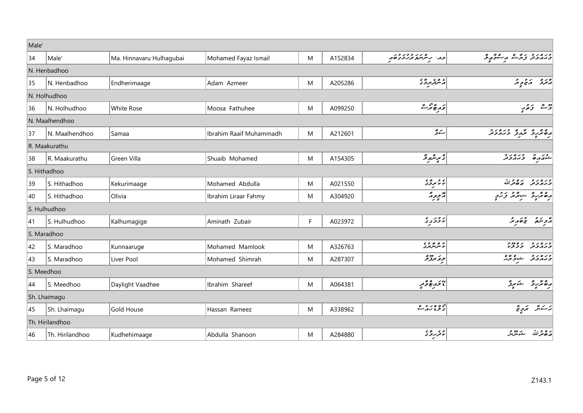| Male' |                 |                          |                         |   |         |                                            |                                                 |
|-------|-----------------|--------------------------|-------------------------|---|---------|--------------------------------------------|-------------------------------------------------|
| 34    | Male'           | Ma. Hinnavaru Hulhagubai | Mohamed Fayaz Ismail    | M | A152834 | وړ٠ ر بربرو د ور وړ<br>وړ٠ ر بربرو بربرو ی | ورەرو روم مەگھى بو                              |
|       | N. Henbadhoo    |                          |                         |   |         |                                            |                                                 |
| 35    | N. Henbadhoo    | Endherimaage             | Adam Azmeer             | M | A205286 | پر عربر دی                                 | أثر مردح الملح والمحمد                          |
|       | N. Holhudhoo    |                          |                         |   |         |                                            |                                                 |
| 36    | N. Holhudhoo    | White Rose               | Moosa Fathuhee          | M | A099250 | ئەرەپر شە                                  | در مع بر د<br>حالت نوع به                       |
|       | N. Maalhendhoo  |                          |                         |   |         |                                            |                                                 |
| 37    | N. Maalhendhoo  | Samaa                    | Ibrahim Raaif Muhammadh | M | A212601 | سەبىج                                      | مەھەر ئەمەد دىمەدد                              |
|       | R. Maakurathu   |                          |                         |   |         |                                            |                                                 |
| 38    | R. Maakurathu   | Green Villa              | Shuaib Mohamed          | M | A154305 | <sub>2 مو</sub> يٹر <sub>مر</sub> مَّته    | شودره وره دو                                    |
|       | S. Hithadhoo    |                          |                         |   |         |                                            |                                                 |
| 39    | S. Hithadhoo    | Kekurimaage              | Mohamed Abdulla         | M | A021550 | ې د برخې<br>مړينونو                        | وره رو ده دالله                                 |
| 40    | S. Hithadhoo    | Olivia                   | Ibrahim Liraar Fahmy    | M | A304920 | بيز<br>مزموه گر                            | رە ئەر ئەسىر ئەر ئەر                            |
|       | S. Hulhudhoo    |                          |                         |   |         |                                            |                                                 |
| 41    | S. Hulhudhoo    | Kalhumagige              | Aminath Zubair          | F | A023972 | ئەقرىرى                                    | ה כְיתֹב זַטּת ב                                |
|       | S. Maradhoo     |                          |                         |   |         |                                            |                                                 |
| 42    | S. Maradhoo     | Kunnaaruge               | Mohamed Mamlook         | M | A326763 | د ه په د ،<br>پاکرېنرن                     | כנסני נסמכ<br>כ <i>ג</i> ונכת ככ <del>ל</del> ט |
| 43    | S. Maradhoo     | Liver Pool               | Mohamed Shimrah         | M | A287307 | وة بردو                                    | شەۋ ئۆر<br>و ر ه ر د<br>تر پر تر تر             |
|       | S. Meedhoo      |                          |                         |   |         |                                            |                                                 |
| 44    | S. Meedhoo      | Daylight Vaadhee         | Ibrahim Shareef         | M | A064381 | ۽ خرم ڇوڱور                                | رەنزىر ئىبر                                     |
|       | Sh. Lhaimagu    |                          |                         |   |         |                                            |                                                 |
| 45    | Sh. Lhaimagu    | Gold House               | Hassan Rameez           | M | A338962 | ە ە ە رېږ مە<br>د عرور مەر                 | يرسكانكر التمرج في                              |
|       | Th. Hirilandhoo |                          |                         |   |         |                                            |                                                 |
| 46    | Th. Hirilandhoo | Kudhehimaage             | Abdulla Shanoon         | M | A284880 | ئۇرۇ ئ                                     | رەت <sub>داللە</sub> ئەمىر                      |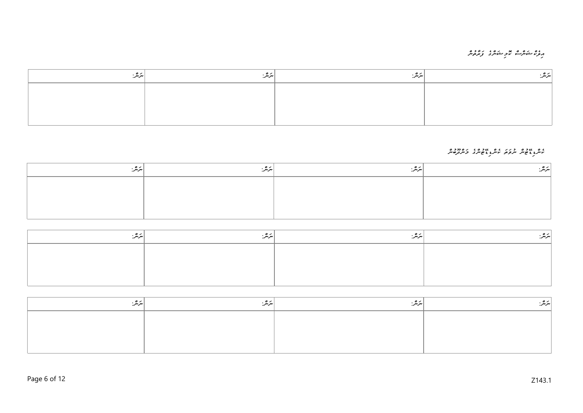## *w7qAn8m?sCw7mRo>u;wEw7mRw;sBo<*

| ' مرمر | 'يئرىثر: |
|--------|----------|
|        |          |
|        |          |
|        |          |

## *w7q9r@w7m>sCw7qHtFoFw7s;mAm=q7w7qHtFoFw7s;*

| بر ه | ىر مىر |  |
|------|--------|--|
|      |        |  |
|      |        |  |
|      |        |  |

| $\frac{2}{n}$ | $\overline{\phantom{a}}$ | اير هنه. | $\mathcal{O} \times$<br>سرسر |
|---------------|--------------------------|----------|------------------------------|
|               |                          |          |                              |
|               |                          |          |                              |
|               |                          |          |                              |

| ' ئىرتىر: | سر سر |  |
|-----------|-------|--|
|           |       |  |
|           |       |  |
|           |       |  |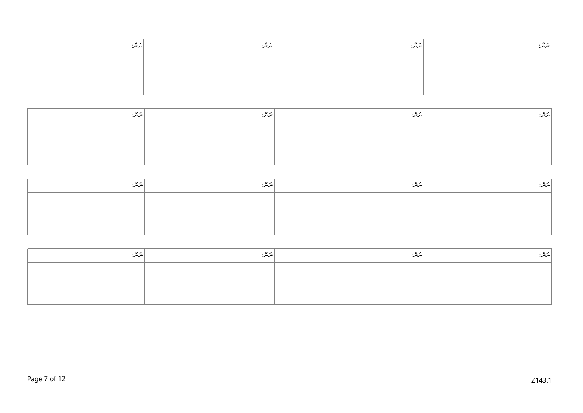| يره. | ο. | ا ير ه |  |
|------|----|--------|--|
|      |    |        |  |
|      |    |        |  |
|      |    |        |  |

| <sup>.</sup> سرسر. |  |
|--------------------|--|
|                    |  |
|                    |  |
|                    |  |

| ىئرىتر. | $\sim$ | ا بر هه. | لىرىش |
|---------|--------|----------|-------|
|         |        |          |       |
|         |        |          |       |
|         |        |          |       |

| ابترىش: | $\mathcal{O} \times$<br>يسمر مسور | $\overline{\phantom{a}}$ |  |
|---------|-----------------------------------|--------------------------|--|
|         |                                   |                          |  |
|         |                                   |                          |  |
|         |                                   |                          |  |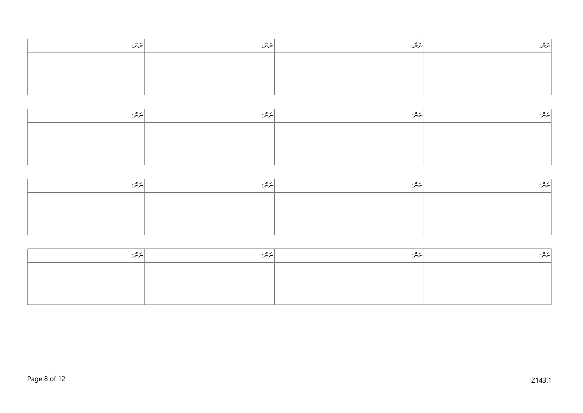| ير هو . | $\overline{\phantom{a}}$ | يرمر | اير هنه. |
|---------|--------------------------|------|----------|
|         |                          |      |          |
|         |                          |      |          |
|         |                          |      |          |

| ىبرىر. | $\sim$<br>ا سرسر . | يئرمثر | o . |
|--------|--------------------|--------|-----|
|        |                    |        |     |
|        |                    |        |     |
|        |                    |        |     |

| 'تترنثر: | . .<br>يسمونس. |  |
|----------|----------------|--|
|          |                |  |
|          |                |  |
|          |                |  |

|  | . ه |
|--|-----|
|  |     |
|  |     |
|  |     |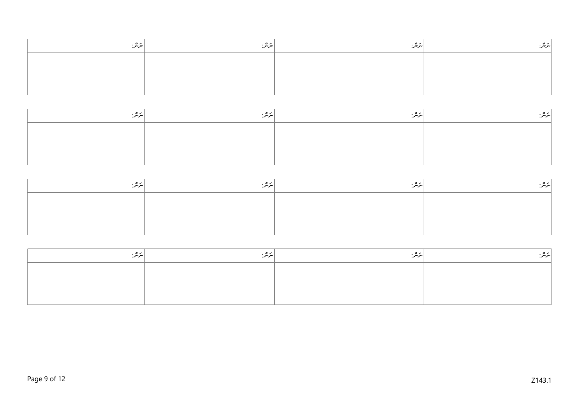| ير هو . | $\overline{\phantom{a}}$ | يرمر | اير هنه. |
|---------|--------------------------|------|----------|
|         |                          |      |          |
|         |                          |      |          |
|         |                          |      |          |

| ىبرىر. | $\sim$<br>ا سرسر . | يئرمثر | o . |
|--------|--------------------|--------|-----|
|        |                    |        |     |
|        |                    |        |     |
|        |                    |        |     |

| انترنثر: | ر ه |  |
|----------|-----|--|
|          |     |  |
|          |     |  |
|          |     |  |

|  | . ه |
|--|-----|
|  |     |
|  |     |
|  |     |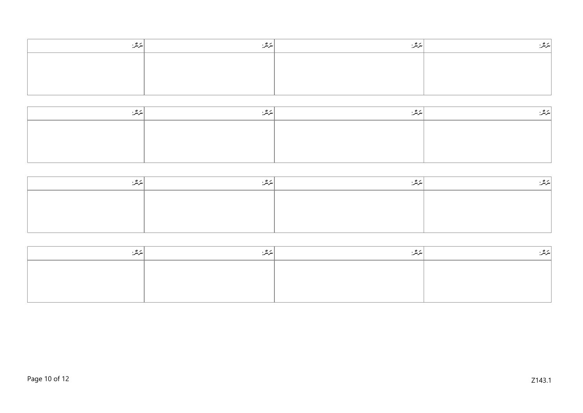| $\cdot$ | 。 | $\frac{\circ}{\cdot}$ | $\sim$<br>سرسر |
|---------|---|-----------------------|----------------|
|         |   |                       |                |
|         |   |                       |                |
|         |   |                       |                |

| ايرعر: | ر ه<br>. . |  |
|--------|------------|--|
|        |            |  |
|        |            |  |
|        |            |  |

| بر ه | 。 | $\sim$<br>َ سومس. |  |
|------|---|-------------------|--|
|      |   |                   |  |
|      |   |                   |  |
|      |   |                   |  |

| 。<br>ىرس: | سر سر | سرسر. |
|-----------|-------|-------|
|           |       |       |
|           |       |       |
|           |       |       |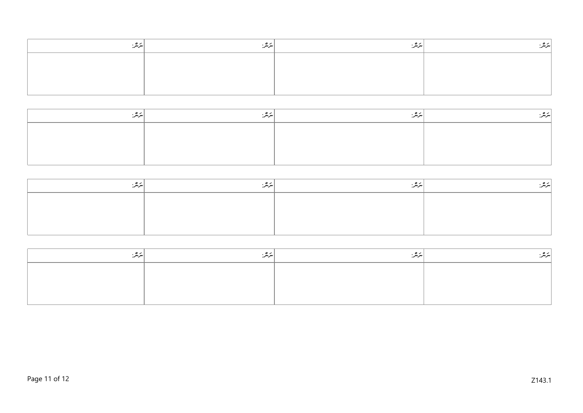| ير هو . | $\overline{\phantom{a}}$ | يرمر | اير هنه. |
|---------|--------------------------|------|----------|
|         |                          |      |          |
|         |                          |      |          |
|         |                          |      |          |

| ىر تىر: | $\circ$ $\sim$<br>" سرسر . | يترمير | o . |
|---------|----------------------------|--------|-----|
|         |                            |        |     |
|         |                            |        |     |
|         |                            |        |     |

| 'تترنثر: | . .<br>يسمونس. |  |
|----------|----------------|--|
|          |                |  |
|          |                |  |
|          |                |  |

|  | . ه |
|--|-----|
|  |     |
|  |     |
|  |     |